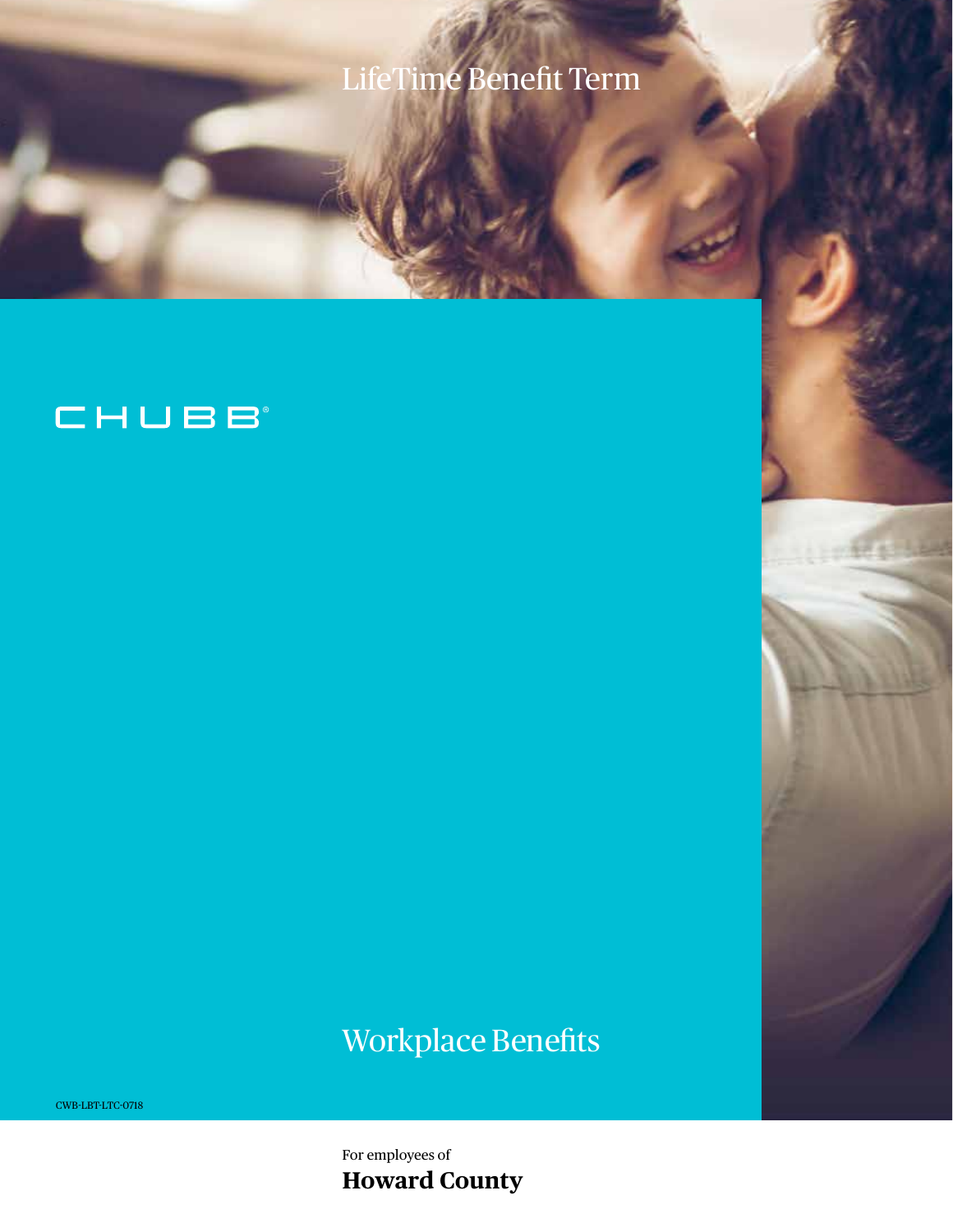# LifeTime Benefit Term

## CHUBB

# Workplace Benefits

CWB-LBT-LTC-0718

For employees of **Howard County**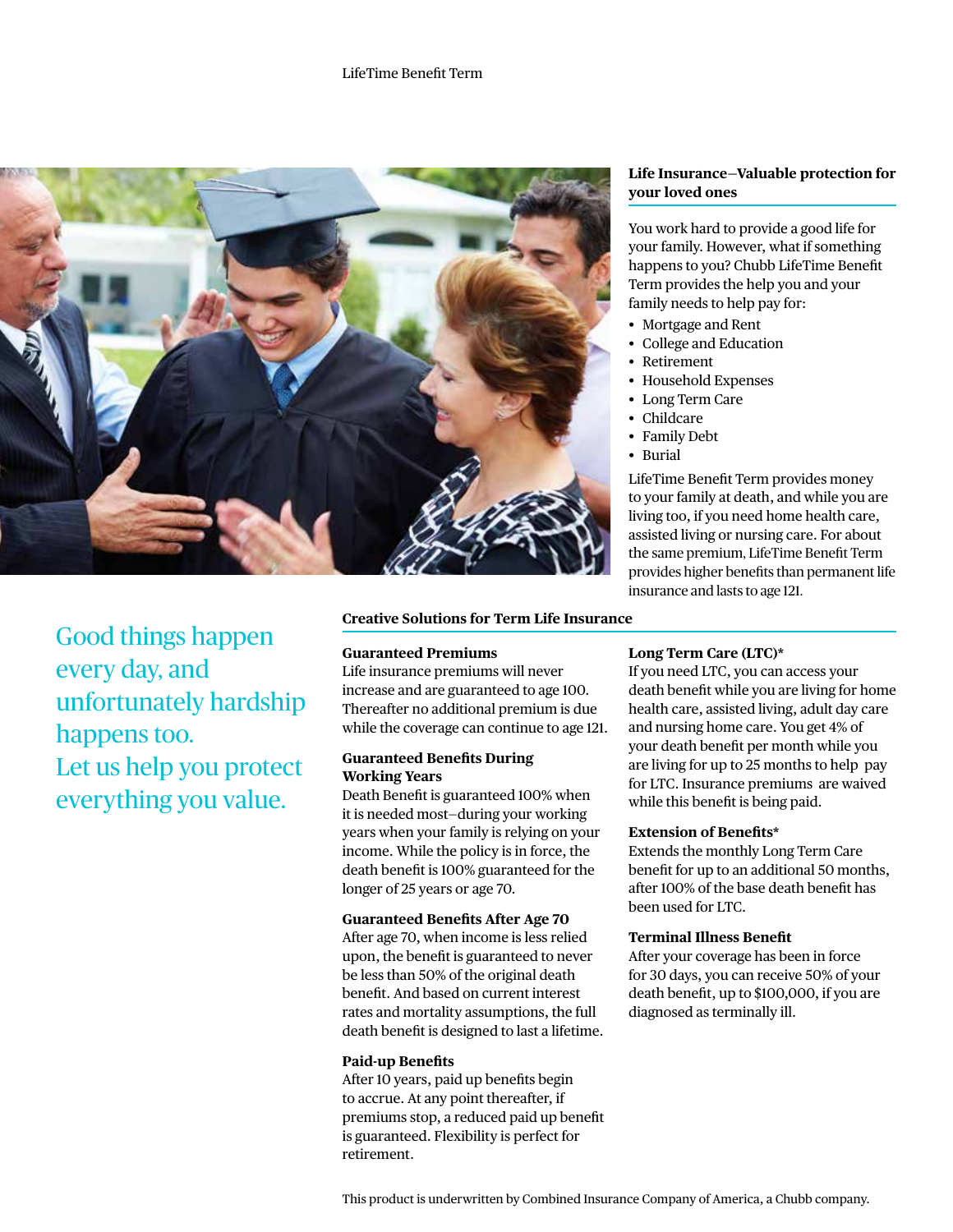

Good things happen every day, and unfortunately hardship happens too. Let us help you protect everything you value.

## **Creative Solutions for Term Life Insurance**

## **Guaranteed Premiums**

Life insurance premiums will never increase and are guaranteed to age 100. Thereafter no additional premium is due while the coverage can continue to age 121.

#### **Guaranteed Benefits During Working Years**

Death Benefit is guaranteed 100% when it is needed most—during your working years when your family is relying on your income. While the policy is in force, the death benefit is 100% guaranteed for the longer of 25 years or age 70.

#### **Guaranteed Benefits After Age 70**

After age 70, when income is less relied upon, the benefit is guaranteed to never be less than 50% of the original death benefit. And based on current interest rates and mortality assumptions, the full death benefit is designed to last a lifetime.

## **Paid-up Benefits**

After 10 years, paid up benefits begin to accrue. At any point thereafter, if premiums stop, a reduced paid up benefit is guaranteed. Flexibility is perfect for retirement.

## **Life Insurance—Valuable protection for your loved ones**

You work hard to provide a good life for your family. However, what if something happens to you? Chubb LifeTime Benefit Term provides the help you and your family needs to help pay for:

- Mortgage and Rent
- College and Education
- **Retirement**
- Household Expenses
- Long Term Care
- Childcare
- Family Debt
- Burial

LifeTime Benefit Term provides money to your family at death, and while you are living too, if you need home health care, assisted living or nursing care. For about the same premium, LifeTime Benefit Term provides higher benefits than permanent life insurance and lasts to age 121.

## **Long Term Care (LTC)\***

If you need LTC, you can access your death benefit while you are living for home health care, assisted living, adult day care and nursing home care. You get 4% of your death benefit per month while you are living for up to 25 months to help pay for LTC. Insurance premiums are waived while this benefit is being paid.

#### **Extension of Benefits\***

Extends the monthly Long Term Care benefit for up to an additional 50 months, after 100% of the base death benefit has been used for LTC.

#### **Terminal Illness Benefit**

After your coverage has been in force for 30 days, you can receive 50% of your death benefit, up to \$100,000, if you are diagnosed as terminally ill.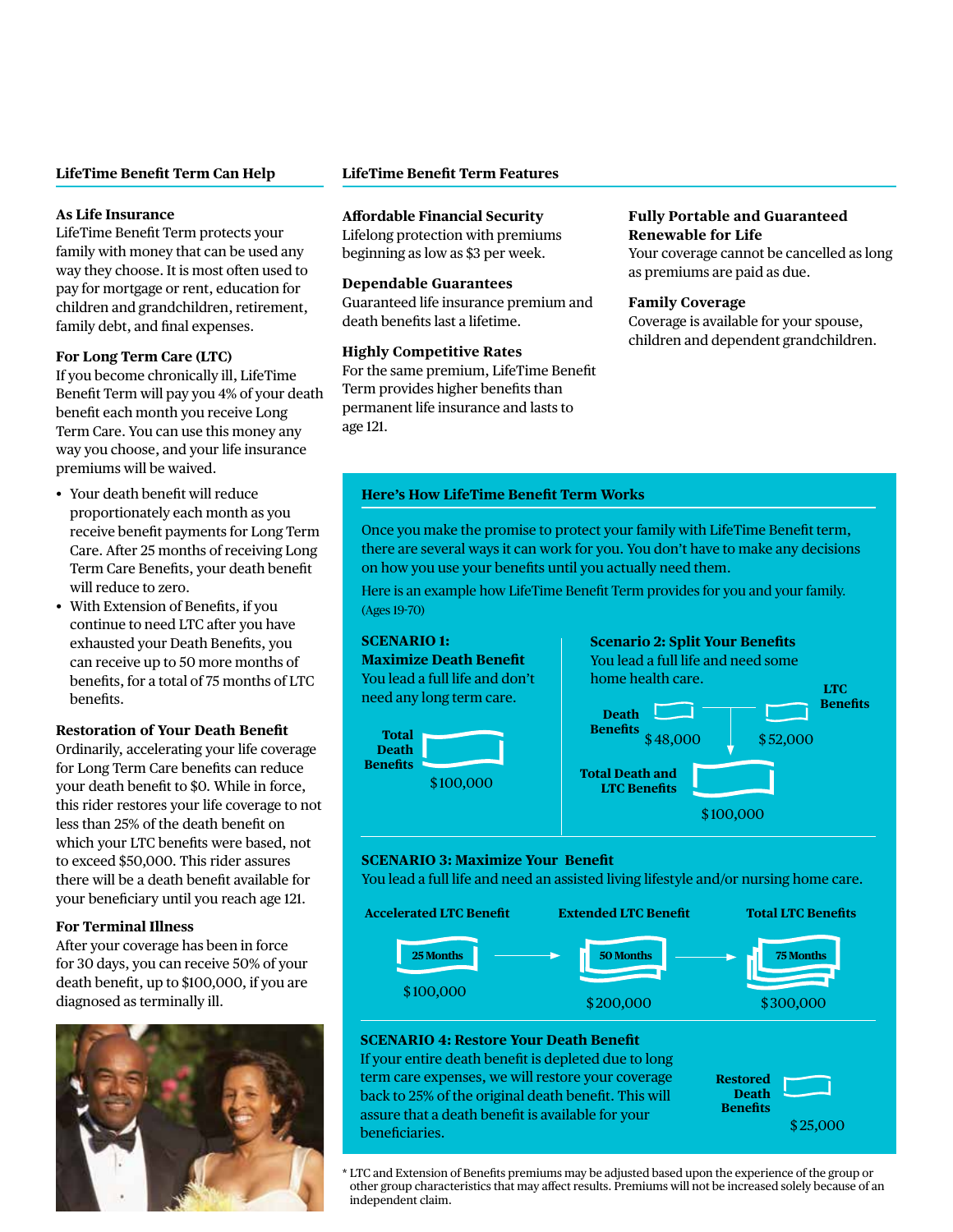## **LifeTime Benefit Term Can Help**

## **As Life Insurance**

LifeTime Benefit Term protects your family with money that can be used any way they choose. It is most often used to pay for mortgage or rent, education for children and grandchildren, retirement, family debt, and final expenses.

#### **For Long Term Care (LTC)**

If you become chronically ill, LifeTime Benefit Term will pay you 4% of your death benefit each month you receive Long Term Care. You can use this money any way you choose, and your life insurance premiums will be waived.

- Your death benefit will reduce proportionately each month as you receive benefit payments for Long Term Care. After 25 months of receiving Long Term Care Benefits, your death benefit will reduce to zero.
- With Extension of Benefits, if you continue to need LTC after you have exhausted your Death Benefits, you can receive up to 50 more months of benefits, for a total of 75 months of LTC benefits.

## **Restoration of Your Death Benefit**

Ordinarily, accelerating your life coverage for Long Term Care benefits can reduce your death benefit to \$0. While in force, this rider restores your life coverage to not less than 25% of the death benefit on which your LTC benefits were based, not to exceed \$50,000. This rider assures there will be a death benefit available for your beneficiary until you reach age 121.

#### **For Terminal Illness**

After your coverage has been in force for 30 days, you can receive 50% of your death benefit, up to \$100,000, if you are diagnosed as terminally ill.



## **LifeTime Benefit Term Features**

#### **Affordable Financial Security**

Lifelong protection with premiums beginning as low as \$3 per week.

#### **Dependable Guarantees**

Guaranteed life insurance premium and death benefits last a lifetime.

## **Highly Competitive Rates**

For the same premium, LifeTime Benefit Term provides higher benefits than permanent life insurance and lasts to age 121.

#### **Fully Portable and Guaranteed Renewable for Life**

Your coverage cannot be cancelled as long as premiums are paid as due.

#### **Family Coverage**

Coverage is available for your spouse, children and dependent grandchildren.

#### **Here's How LifeTime Benefit Term Works**

Once you make the promise to protect your family with LifeTime Benefit term, there are several ways it can work for you. You don't have to make any decisions on how you use your benefits until you actually need them.

Here is an example how LifeTime Benefit Term provides for you and your family. (Ages 19-70)



## **SCENARIO 3: Maximize Your Benefit**

You lead a full life and need an assisted living lifestyle and/or nursing home care.



## **SCENARIO 4: Restore Your Death Benefit**

If your entire death benefit is depleted due to long term care expenses, we will restore your coverage back to 25% of the original death benefit. This will assure that a death benefit is available for your beneficiaries.

**Restored Death Benefits** \$ 25,000

\* LTC and Extension of Benefits premiums may be adjusted based upon the experience of the group or other group characteristics that may affect results. Premiums will not be increased solely because of an independent claim.